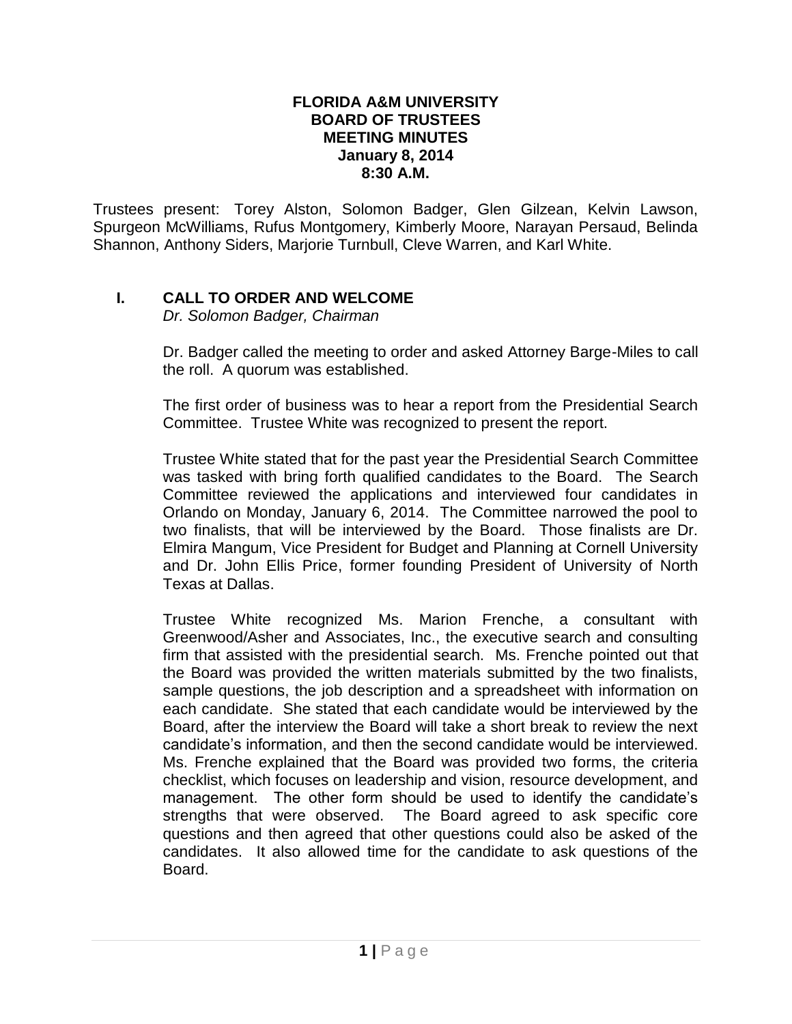## **FLORIDA A&M UNIVERSITY BOARD OF TRUSTEES MEETING MINUTES January 8, 2014 8:30 A.M.**

Trustees present: Torey Alston, Solomon Badger, Glen Gilzean, Kelvin Lawson, Spurgeon McWilliams, Rufus Montgomery, Kimberly Moore, Narayan Persaud, Belinda Shannon, Anthony Siders, Marjorie Turnbull, Cleve Warren, and Karl White.

## **I. CALL TO ORDER AND WELCOME**

*Dr. Solomon Badger, Chairman*

Dr. Badger called the meeting to order and asked Attorney Barge-Miles to call the roll. A quorum was established.

The first order of business was to hear a report from the Presidential Search Committee. Trustee White was recognized to present the report.

Trustee White stated that for the past year the Presidential Search Committee was tasked with bring forth qualified candidates to the Board. The Search Committee reviewed the applications and interviewed four candidates in Orlando on Monday, January 6, 2014. The Committee narrowed the pool to two finalists, that will be interviewed by the Board. Those finalists are Dr. Elmira Mangum, Vice President for Budget and Planning at Cornell University and Dr. John Ellis Price, former founding President of University of North Texas at Dallas.

Trustee White recognized Ms. Marion Frenche, a consultant with Greenwood/Asher and Associates, Inc., the executive search and consulting firm that assisted with the presidential search. Ms. Frenche pointed out that the Board was provided the written materials submitted by the two finalists, sample questions, the job description and a spreadsheet with information on each candidate. She stated that each candidate would be interviewed by the Board, after the interview the Board will take a short break to review the next candidate's information, and then the second candidate would be interviewed. Ms. Frenche explained that the Board was provided two forms, the criteria checklist, which focuses on leadership and vision, resource development, and management. The other form should be used to identify the candidate's strengths that were observed. The Board agreed to ask specific core questions and then agreed that other questions could also be asked of the candidates. It also allowed time for the candidate to ask questions of the Board.